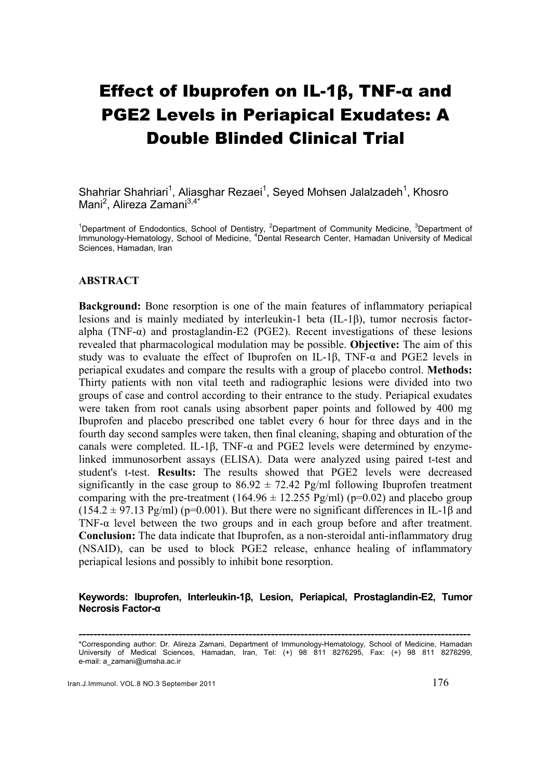# Effect of Ibuprofen on IL-1β, TNF-α and PGE2 Levels in Periapical Exudates: A Double Blinded Clinical Trial

Shahriar Shahriari<sup>1</sup>, Aliasghar Rezaei<sup>1</sup>, Seyed Mohsen Jalalzadeh<sup>1</sup>, Khosro Mani<sup>2</sup>, Alireza Zamani<sup>3,4\*</sup>

<sup>1</sup>Department of Endodontics, School of Dentistry, <sup>2</sup>Department of Community Medicine, <sup>3</sup>Department of Immunology-Hematology, School of Medicine, <sup>4</sup>Dental Research Center, Hamadan University of Medical Sciences, Hamadan, Iran

#### **ABSTRACT**

**Background:** Bone resorption is one of the main features of inflammatory periapical lesions and is mainly mediated by interleukin-1 beta (IL-1β), tumor necrosis factoralpha (TNF- $\alpha$ ) and prostaglandin-E2 (PGE2). Recent investigations of these lesions revealed that pharmacological modulation may be possible. **Objective:** The aim of this study was to evaluate the effect of Ibuprofen on IL-1β, TNF- $\alpha$  and PGE2 levels in periapical exudates and compare the results with a group of placebo control. **Methods:** Thirty patients with non vital teeth and radiographic lesions were divided into two groups of case and control according to their entrance to the study. Periapical exudates were taken from root canals using absorbent paper points and followed by 400 mg Ibuprofen and placebo prescribed one tablet every 6 hour for three days and in the fourth day second samples were taken, then final cleaning, shaping and obturation of the canals were completed. IL-1β, TNF-α and PGE2 levels were determined by enzymelinked immunosorbent assays (ELISA). Data were analyzed using paired t-test and student's t-test. **Results:** The results showed that PGE2 levels were decreased significantly in the case group to  $86.92 \pm 72.42$  Pg/ml following Ibuprofen treatment comparing with the pre-treatment (164.96  $\pm$  12.255 Pg/ml) (p=0.02) and placebo group  $(154.2 \pm 97.13 \text{ Pg/ml})$  (p=0.001). But there were no significant differences in IL-1 $\beta$  and TNF- $\alpha$  level between the two groups and in each group before and after treatment. **Conclusion:** The data indicate that Ibuprofen, as a non-steroidal anti-inflammatory drug (NSAID), can be used to block PGE2 release, enhance healing of inflammatory periapical lesions and possibly to inhibit bone resorption.

#### **Keywords: Ibuprofen, Interleukin-1β, Lesion, Periapical, Prostaglandin-E2, Tumor Necrosis Factor-α**

**<sup>----------------------------------------------------------------------------------------------------------</sup>** \*Corresponding author: Dr. Alireza Zamani, Department of Immunology-Hematology, School of Medicine, Hamadan University of Medical Sciences, Hamadan, Iran, Tel: (+) 98 811 8276295, Fax: (+) 98 811 8276299, e-mail: a\_zamani@umsha.ac.ir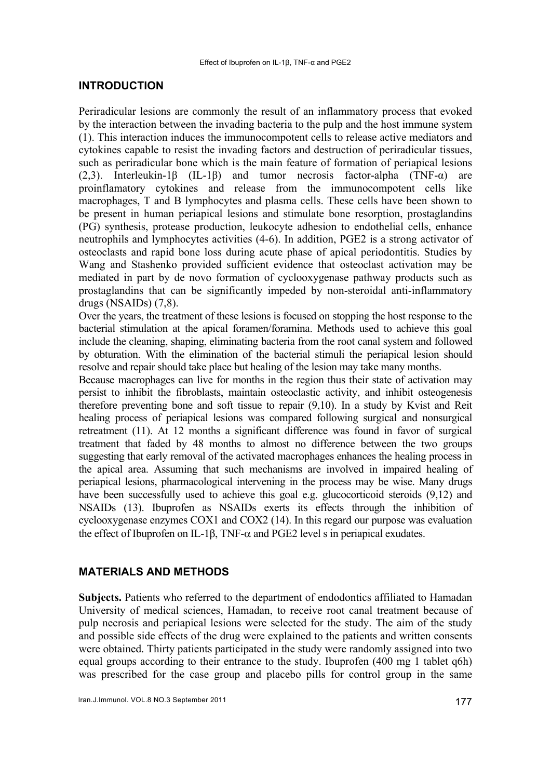## **INTRODUCTION**

Periradicular lesions are commonly the result of an inflammatory process that evoked by the interaction between the invading bacteria to the pulp and the host immune system (1). This interaction induces the immunocompotent cells to release active mediators and cytokines capable to resist the invading factors and destruction of periradicular tissues, such as periradicular bone which is the main feature of formation of periapical lesions (2,3). Interleukin-1 $\beta$  (IL-1 $\beta$ ) and tumor necrosis factor-alpha (TNF- $\alpha$ ) are proinflamatory cytokines and release from the immunocompotent cells like macrophages, T and B lymphocytes and plasma cells. These cells have been shown to be present in human periapical lesions and stimulate bone resorption, prostaglandins (PG) synthesis, protease production, leukocyte adhesion to endothelial cells, enhance neutrophils and lymphocytes activities (4-6). In addition, PGE2 is a strong activator of osteoclasts and rapid bone loss during acute phase of apical periodontitis. Studies by Wang and Stashenko provided sufficient evidence that osteoclast activation may be mediated in part by de novo formation of cyclooxygenase pathway products such as prostaglandins that can be significantly impeded by non-steroidal anti-inflammatory drugs (NSAIDs) (7,8).

Over the years, the treatment of these lesions is focused on stopping the host response to the bacterial stimulation at the apical foramen/foramina. Methods used to achieve this goal include the cleaning, shaping, eliminating bacteria from the root canal system and followed by obturation. With the elimination of the bacterial stimuli the periapical lesion should resolve and repair should take place but healing of the lesion may take many months.

Because macrophages can live for months in the region thus their state of activation may persist to inhibit the fibroblasts, maintain osteoclastic activity, and inhibit osteogenesis therefore preventing bone and soft tissue to repair (9,10). In a study by Kvist and Reit healing process of periapical lesions was compared following surgical and nonsurgical retreatment (11). At 12 months a significant difference was found in favor of surgical treatment that faded by 48 months to almost no difference between the two groups suggesting that early removal of the activated macrophages enhances the healing process in the apical area. Assuming that such mechanisms are involved in impaired healing of periapical lesions, pharmacological intervening in the process may be wise. Many drugs have been successfully used to achieve this goal e.g. glucocorticoid steroids  $(9,12)$  and NSAIDs (13). Ibuprofen as NSAIDs exerts its effects through the inhibition of cyclooxygenase enzymes COX1 and COX2 (14). In this regard our purpose was evaluation the effect of Ibuprofen on IL-1β, TNF- $\alpha$  and PGE2 level s in periapical exudates.

# **MATERIALS AND METHODS**

**Subjects.** Patients who referred to the department of endodontics affiliated to Hamadan University of medical sciences, Hamadan, to receive root canal treatment because of pulp necrosis and periapical lesions were selected for the study. The aim of the study and possible side effects of the drug were explained to the patients and written consents were obtained. Thirty patients participated in the study were randomly assigned into two equal groups according to their entrance to the study. Ibuprofen (400 mg 1 tablet q6h) was prescribed for the case group and placebo pills for control group in the same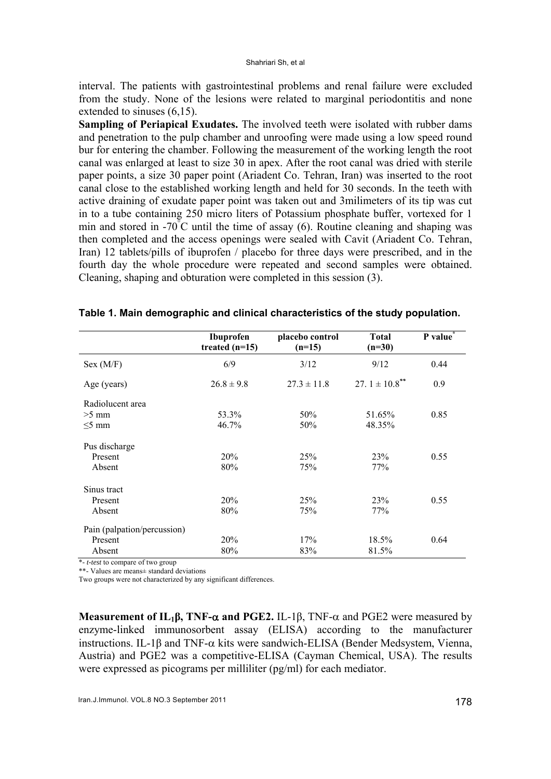interval. The patients with gastrointestinal problems and renal failure were excluded from the study. None of the lesions were related to marginal periodontitis and none extended to sinuses (6,15).

**Sampling of Periapical Exudates.** The involved teeth were isolated with rubber dams and penetration to the pulp chamber and unroofing were made using a low speed round bur for entering the chamber. Following the measurement of the working length the root canal was enlarged at least to size 30 in apex. After the root canal was dried with sterile paper points, a size 30 paper point (Ariadent Co. Tehran, Iran) was inserted to the root canal close to the established working length and held for 30 seconds. In the teeth with active draining of exudate paper point was taken out and 3milimeters of its tip was cut in to a tube containing 250 micro liters of Potassium phosphate buffer, vortexed for 1 min and stored in -70 $\mathrm{C}^{\dagger}$ C until the time of assay (6). Routine cleaning and shaping was then completed and the access openings were sealed with Cavit (Ariadent Co. Tehran, Iran) 12 tablets/pills of ibuprofen / placebo for three days were prescribed, and in the fourth day the whole procedure were repeated and second samples were obtained. Cleaning, shaping and obturation were completed in this session (3).

|                             | Ibuprofen<br>treated $(n=15)$ | placebo control<br>$(n=15)$ | <b>Total</b><br>$(n=30)$       | P value |
|-----------------------------|-------------------------------|-----------------------------|--------------------------------|---------|
| Sex (M/F)                   | 6/9                           | 3/12                        | 9/12                           | 0.44    |
| Age (years)                 | $26.8 \pm 9.8$                | $27.3 \pm 11.8$             | 27. $1 \pm 10.8$ <sup>**</sup> | 0.9     |
| Radiolucent area            |                               |                             |                                |         |
| $>5$ mm                     | 53.3%                         | 50%                         | 51.65%                         | 0.85    |
| $\leq$ 5 mm                 | 46.7%                         | 50%                         | 48.35%                         |         |
| Pus discharge               |                               |                             |                                |         |
| Present                     | 20%                           | 25%                         | 23%                            | 0.55    |
| Absent                      | 80%                           | 75%                         | 77%                            |         |
| Sinus tract                 |                               |                             |                                |         |
| Present                     | 20%                           | 25%                         | <b>23%</b>                     | 0.55    |
| Absent                      | 80%                           | 75%                         | 77%                            |         |
| Pain (palpation/percussion) |                               |                             |                                |         |
| Present                     | 20%                           | 17%                         | 18.5%                          | 0.64    |
| Absent                      | 80%                           | 83%                         | 81.5%                          |         |

|  |  | Table 1. Main demographic and clinical characteristics of the study population. |  |  |
|--|--|---------------------------------------------------------------------------------|--|--|
|  |  |                                                                                 |  |  |

\*- *t-test* to compare of two group

\*\*- Values are means± standard deviations

Two groups were not characterized by any significant differences.

**Measurement of**  $IL_1\beta$ **, TNF-** $\alpha$  **and PGE2.** IL-1 $\beta$ , TNF- $\alpha$  and PGE2 were measured by enzyme-linked immunosorbent assay (ELISA) according to the manufacturer instructions. IL-1β and TNF-α kits were sandwich-ELISA (Bender Medsystem, Vienna, Austria) and PGE2 was a competitive-ELISA (Cayman Chemical, USA). The results were expressed as picograms per milliliter (pg/ml) for each mediator.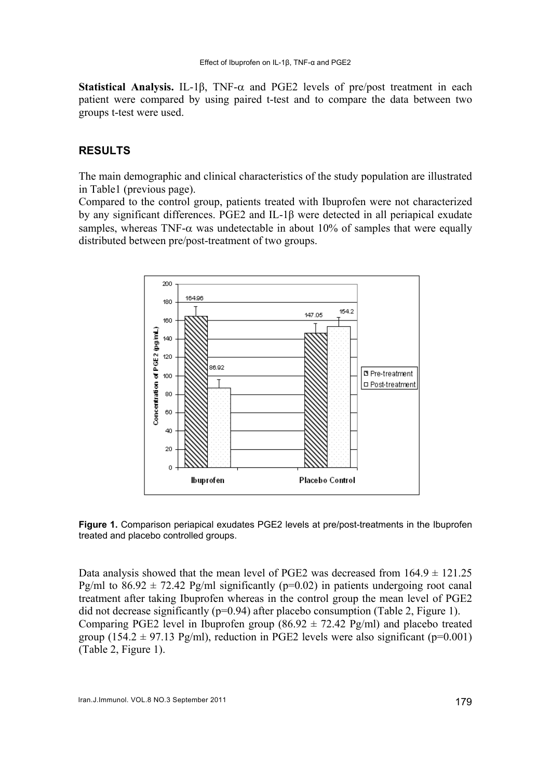**Statistical Analysis.** IL-1β, TNF-α and PGE2 levels of pre/post treatment in each patient were compared by using paired t-test and to compare the data between two groups t-test were used.

## **RESULTS**

The main demographic and clinical characteristics of the study population are illustrated in Table1 (previous page).

Compared to the control group, patients treated with Ibuprofen were not characterized by any significant differences. PGE2 and IL-1β were detected in all periapical exudate samples, whereas TNF- $\alpha$  was undetectable in about 10% of samples that were equally distributed between pre/post-treatment of two groups.



**Figure 1.** Comparison periapical exudates PGE2 levels at pre/post-treatments in the Ibuprofen treated and placebo controlled groups.

Data analysis showed that the mean level of PGE2 was decreased from  $164.9 \pm 121.25$ Pg/ml to  $86.92 \pm 72.42$  Pg/ml significantly (p=0.02) in patients undergoing root canal treatment after taking Ibuprofen whereas in the control group the mean level of PGE2 did not decrease significantly ( $p=0.94$ ) after placebo consumption (Table 2, Figure 1). Comparing PGE2 level in Ibuprofen group (86.92  $\pm$  72.42 Pg/ml) and placebo treated group (154.2  $\pm$  97.13 Pg/ml), reduction in PGE2 levels were also significant (p=0.001) (Table 2, Figure 1).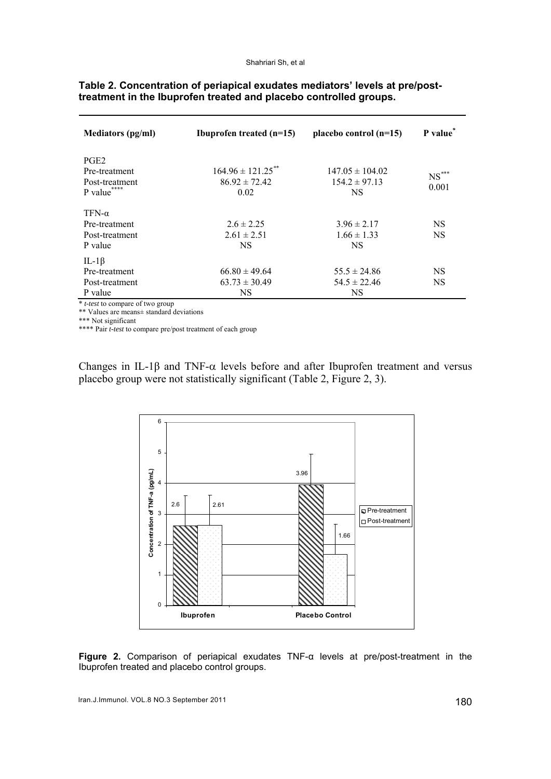| <b>Mediators (pg/ml)</b>                                                            | Ibuprofen treated $(n=15)$                                     | placebo control $(n=15)$                              | P value*            |
|-------------------------------------------------------------------------------------|----------------------------------------------------------------|-------------------------------------------------------|---------------------|
| PGE <sub>2</sub><br>Pre-treatment<br>Post-treatment<br>****<br>P value <sup>1</sup> | $164.96 \pm 121.25$ <sup>**</sup><br>$86.92 \pm 72.42$<br>0.02 | $147.05 \pm 104.02$<br>$154.2 \pm 97.13$<br><b>NS</b> | $NS^{***}$<br>0.001 |
| $TFN-\alpha$<br>Pre-treatment                                                       | $2.6 \pm 2.25$                                                 | $3.96 \pm 2.17$                                       | <b>NS</b>           |
| Post-treatment<br>P value                                                           | $2.61 \pm 2.51$<br><b>NS</b>                                   | $1.66 \pm 1.33$<br><b>NS</b>                          | <b>NS</b>           |
| IL-1 $\beta$<br>Pre-treatment                                                       | $66.80 \pm 49.64$                                              | $55.5 \pm 24.86$                                      | NS.                 |
| Post-treatment<br>P value                                                           | $63.73 \pm 30.49$<br>NS.                                       | $54.5 \pm 22.46$<br><b>NS</b>                         | <b>NS</b>           |

#### **Table 2. Concentration of periapical exudates mediators' levels at pre/posttreatment in the Ibuprofen treated and placebo controlled groups.**

\* *t-test* to compare of two group

\*\* Values are means± standard deviations

\*\*\* Not significant

\*\*\*\* Pair *t-test* to compare pre/post treatment of each group

Changes in IL-1 $\beta$  and TNF- $\alpha$  levels before and after Ibuprofen treatment and versus placebo group were not statistically significant (Table 2, Figure 2, 3).



**Figure 2.** Comparison of periapical exudates TNF-α levels at pre/post-treatment in the Ibuprofen treated and placebo control groups.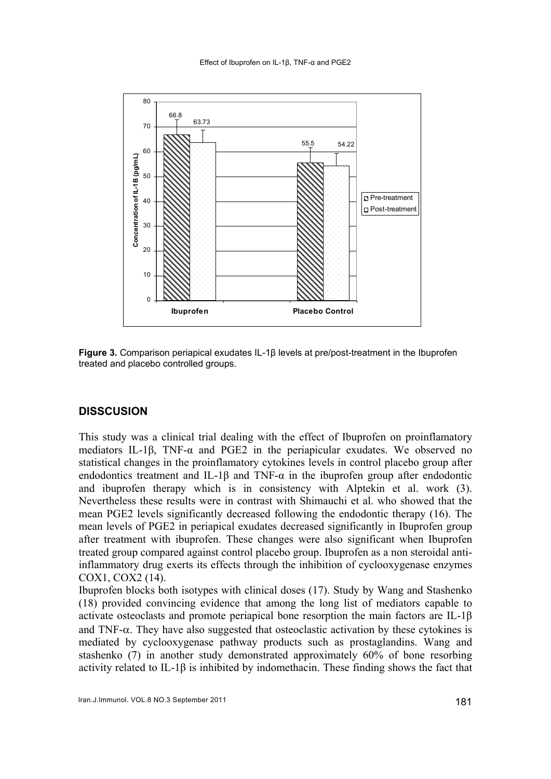

**Figure 3.** Comparison periapical exudates IL-1β levels at pre/post-treatment in the Ibuprofen treated and placebo controlled groups.

### **DISSCUSION**

This study was a clinical trial dealing with the effect of Ibuprofen on proinflamatory mediators IL-1β, TNF-α and PGE2 in the periapicular exudates. We observed no statistical changes in the proinflamatory cytokines levels in control placebo group after endodontics treatment and IL-1 $\beta$  and TNF- $\alpha$  in the ibuprofen group after endodontic and ibuprofen therapy which is in consistency with Alptekin et al. work (3). Nevertheless these results were in contrast with Shimauchi et al. who showed that the mean PGE2 levels significantly decreased following the endodontic therapy (16). The mean levels of PGE2 in periapical exudates decreased significantly in Ibuprofen group after treatment with ibuprofen. These changes were also significant when Ibuprofen treated group compared against control placebo group. Ibuprofen as a non steroidal antiinflammatory drug exerts its effects through the inhibition of cyclooxygenase enzymes COX1, COX2 (14).

Ibuprofen blocks both isotypes with clinical doses (17). Study by Wang and Stashenko (18) provided convincing evidence that among the long list of mediators capable to activate osteoclasts and promote periapical bone resorption the main factors are IL-1β and TNF- $\alpha$ . They have also suggested that osteoclastic activation by these cytokines is mediated by cyclooxygenase pathway products such as prostaglandins. Wang and stashenko (7) in another study demonstrated approximately 60% of bone resorbing activity related to IL-1β is inhibited by indomethacin. These finding shows the fact that